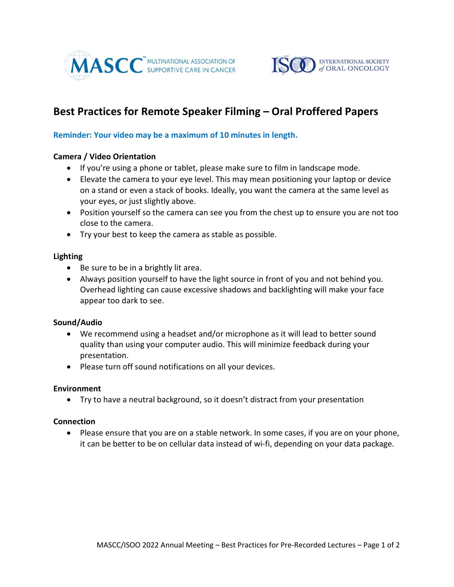



# Best Practices for Remote Speaker Filming – Oral Proffered Papers

## Reminder: Your video may be a maximum of 10 minutes in length.

# Camera / Video Orientation

- If you're using a phone or tablet, please make sure to film in landscape mode.
- Elevate the camera to your eye level. This may mean positioning your laptop or device on a stand or even a stack of books. Ideally, you want the camera at the same level as your eyes, or just slightly above.
- Position yourself so the camera can see you from the chest up to ensure you are not too close to the camera.
- Try your best to keep the camera as stable as possible.

## Lighting

- Be sure to be in a brightly lit area.
- Always position yourself to have the light source in front of you and not behind you. Overhead lighting can cause excessive shadows and backlighting will make your face appear too dark to see.

#### Sound/Audio

- We recommend using a headset and/or microphone as it will lead to better sound quality than using your computer audio. This will minimize feedback during your presentation.
- Please turn off sound notifications on all your devices.

#### Environment

Try to have a neutral background, so it doesn't distract from your presentation

#### **Connection**

• Please ensure that you are on a stable network. In some cases, if you are on your phone, it can be better to be on cellular data instead of wi-fi, depending on your data package.